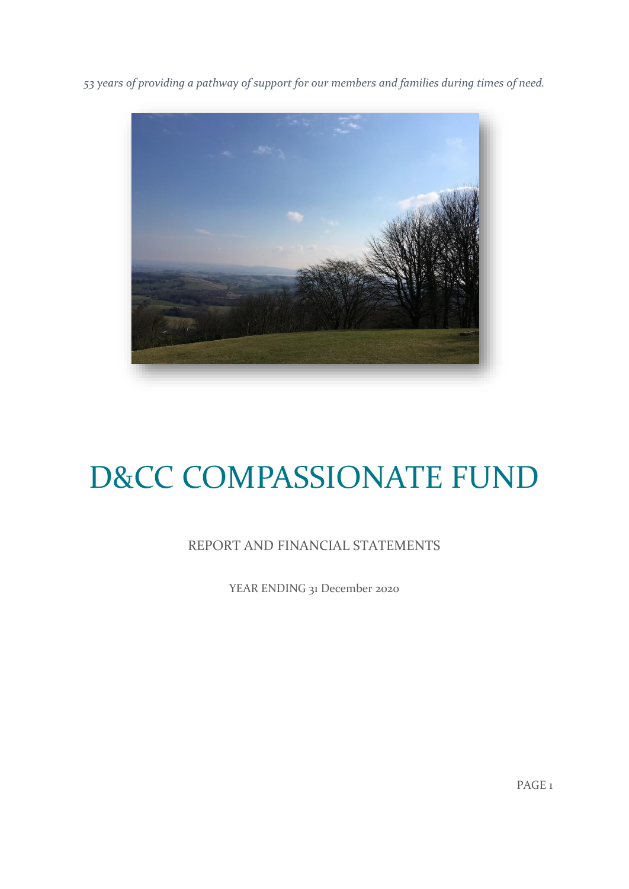*53 years of providing a pathway of support for our members and families during times of need.*



# D&CC COMPASSIONATE FUND

# REPORT AND FINANCIAL STATEMENTS

YEAR ENDING 31 December 2020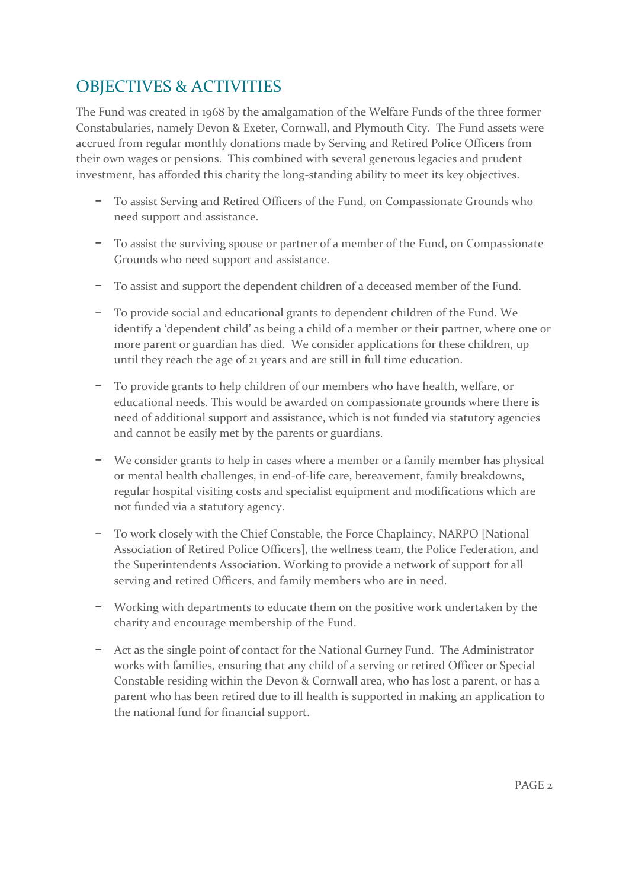# OBJECTIVES & ACTIVITIES

The Fund was created in 1968 by the amalgamation of the Welfare Funds of the three former Constabularies, namely Devon & Exeter, Cornwall, and Plymouth City. The Fund assets were accrued from regular monthly donations made by Serving and Retired Police Officers from their own wages or pensions. This combined with several generous legacies and prudent investment, has afforded this charity the long-standing ability to meet its key objectives.

- − To assist Serving and Retired Officers of the Fund, on Compassionate Grounds who need support and assistance.
- − To assist the surviving spouse or partner of a member of the Fund, on Compassionate Grounds who need support and assistance.
- − To assist and support the dependent children of a deceased member of the Fund.
- − To provide social and educational grants to dependent children of the Fund. We identify a 'dependent child' as being a child of a member or their partner, where one or more parent or guardian has died. We consider applications for these children, up until they reach the age of 21 years and are still in full time education.
- − To provide grants to help children of our members who have health, welfare, or educational needs. This would be awarded on compassionate grounds where there is need of additional support and assistance, which is not funded via statutory agencies and cannot be easily met by the parents or guardians.
- − We consider grants to help in cases where a member or a family member has physical or mental health challenges, in end-of-life care, bereavement, family breakdowns, regular hospital visiting costs and specialist equipment and modifications which are not funded via a statutory agency.
- − To work closely with the Chief Constable, the Force Chaplaincy, NARPO [National Association of Retired Police Officers], the wellness team, the Police Federation, and the Superintendents Association. Working to provide a network of support for all serving and retired Officers, and family members who are in need.
- − Working with departments to educate them on the positive work undertaken by the charity and encourage membership of the Fund.
- − Act as the single point of contact for the National Gurney Fund. The Administrator works with families, ensuring that any child of a serving or retired Officer or Special Constable residing within the Devon & Cornwall area, who has lost a parent, or has a parent who has been retired due to ill health is supported in making an application to the national fund for financial support.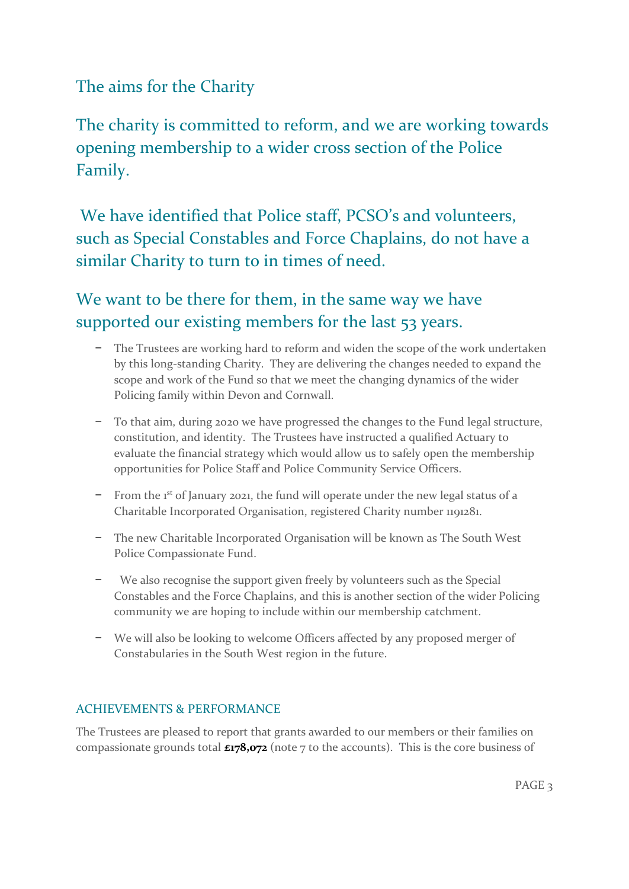# The aims for the Charity

The charity is committed to reform, and we are working towards opening membership to a wider cross section of the Police Family.

We have identified that Police staff, PCSO's and volunteers, such as Special Constables and Force Chaplains, do not have a similar Charity to turn to in times of need.

We want to be there for them, in the same way we have supported our existing members for the last 53 years.

- − The Trustees are working hard to reform and widen the scope of the work undertaken by this long-standing Charity. They are delivering the changes needed to expand the scope and work of the Fund so that we meet the changing dynamics of the wider Policing family within Devon and Cornwall.
- − To that aim, during 2020 we have progressed the changes to the Fund legal structure, constitution, and identity. The Trustees have instructed a qualified Actuary to evaluate the financial strategy which would allow us to safely open the membership opportunities for Police Staff and Police Community Service Officers.
- − From the 1st of January 2021, the fund will operate under the new legal status of a Charitable Incorporated Organisation, registered Charity number 1191281.
- − The new Charitable Incorporated Organisation will be known as The South West Police Compassionate Fund.
- We also recognise the support given freely by volunteers such as the Special Constables and the Force Chaplains, and this is another section of the wider Policing community we are hoping to include within our membership catchment.
- − We will also be looking to welcome Officers affected by any proposed merger of Constabularies in the South West region in the future.

## ACHIEVEMENTS & PERFORMANCE

The Trustees are pleased to report that grants awarded to our members or their families on compassionate grounds total **£178,072** (note 7 to the accounts). This is the core business of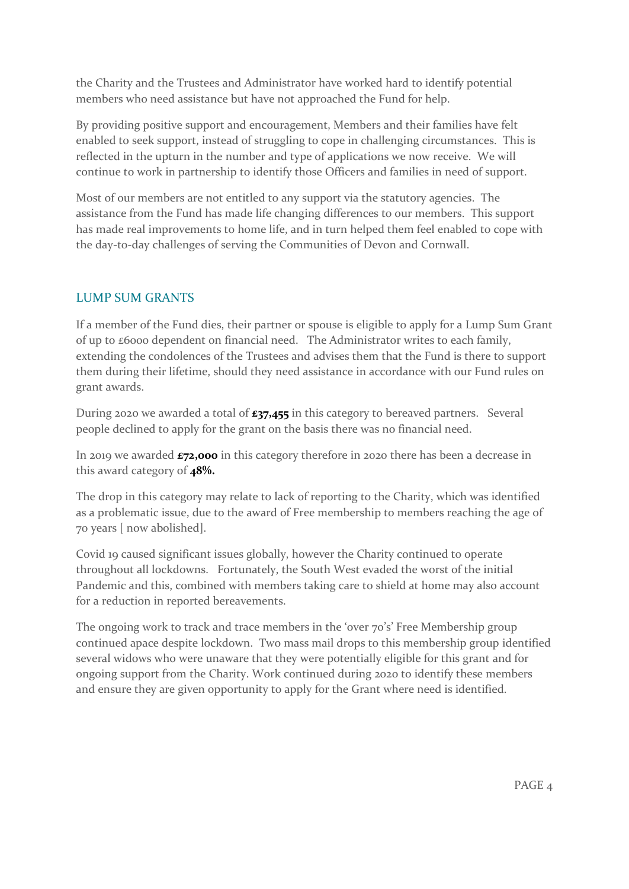the Charity and the Trustees and Administrator have worked hard to identify potential members who need assistance but have not approached the Fund for help.

By providing positive support and encouragement, Members and their families have felt enabled to seek support, instead of struggling to cope in challenging circumstances. This is reflected in the upturn in the number and type of applications we now receive. We will continue to work in partnership to identify those Officers and families in need of support.

Most of our members are not entitled to any support via the statutory agencies. The assistance from the Fund has made life changing differences to our members. This support has made real improvements to home life, and in turn helped them feel enabled to cope with the day-to-day challenges of serving the Communities of Devon and Cornwall.

## LUMP SUM GRANTS

If a member of the Fund dies, their partner or spouse is eligible to apply for a Lump Sum Grant of up to £6000 dependent on financial need. The Administrator writes to each family, extending the condolences of the Trustees and advises them that the Fund is there to support them during their lifetime, should they need assistance in accordance with our Fund rules on grant awards.

During 2020 we awarded a total of **£37,455** in this category to bereaved partners. Several people declined to apply for the grant on the basis there was no financial need.

In 2019 we awarded **£72,000** in this category therefore in 2020 there has been a decrease in this award category of **48%.**

The drop in this category may relate to lack of reporting to the Charity, which was identified as a problematic issue, due to the award of Free membership to members reaching the age of 70 years [ now abolished].

Covid 19 caused significant issues globally, however the Charity continued to operate throughout all lockdowns. Fortunately, the South West evaded the worst of the initial Pandemic and this, combined with members taking care to shield at home may also account for a reduction in reported bereavements.

The ongoing work to track and trace members in the 'over 70's' Free Membership group continued apace despite lockdown. Two mass mail drops to this membership group identified several widows who were unaware that they were potentially eligible for this grant and for ongoing support from the Charity. Work continued during 2020 to identify these members and ensure they are given opportunity to apply for the Grant where need is identified.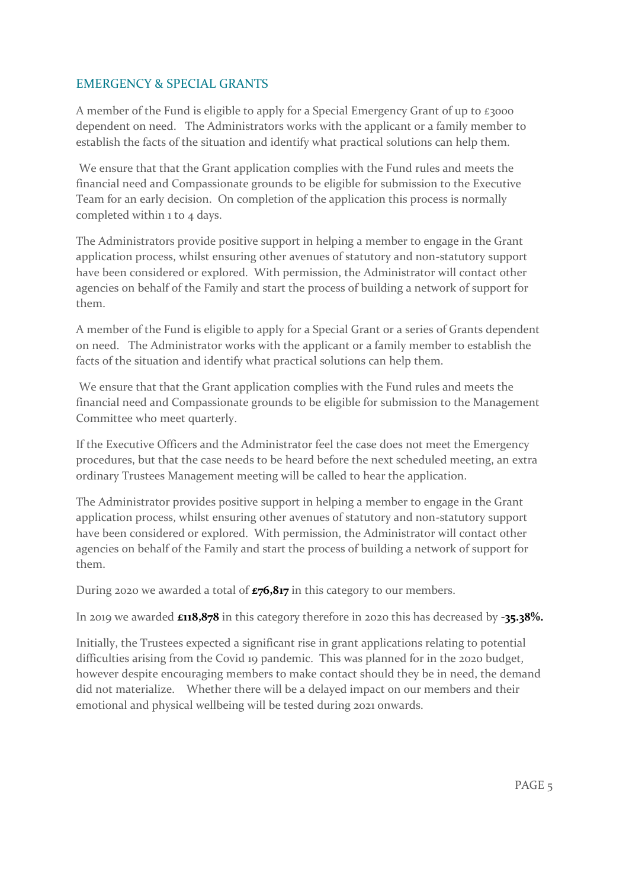## EMERGENCY & SPECIAL GRANTS

A member of the Fund is eligible to apply for a Special Emergency Grant of up to £3000 dependent on need. The Administrators works with the applicant or a family member to establish the facts of the situation and identify what practical solutions can help them.

We ensure that that the Grant application complies with the Fund rules and meets the financial need and Compassionate grounds to be eligible for submission to the Executive Team for an early decision. On completion of the application this process is normally completed within 1 to 4 days.

The Administrators provide positive support in helping a member to engage in the Grant application process, whilst ensuring other avenues of statutory and non-statutory support have been considered or explored. With permission, the Administrator will contact other agencies on behalf of the Family and start the process of building a network of support for them.

A member of the Fund is eligible to apply for a Special Grant or a series of Grants dependent on need. The Administrator works with the applicant or a family member to establish the facts of the situation and identify what practical solutions can help them.

We ensure that that the Grant application complies with the Fund rules and meets the financial need and Compassionate grounds to be eligible for submission to the Management Committee who meet quarterly.

If the Executive Officers and the Administrator feel the case does not meet the Emergency procedures, but that the case needs to be heard before the next scheduled meeting, an extra ordinary Trustees Management meeting will be called to hear the application.

The Administrator provides positive support in helping a member to engage in the Grant application process, whilst ensuring other avenues of statutory and non-statutory support have been considered or explored. With permission, the Administrator will contact other agencies on behalf of the Family and start the process of building a network of support for them.

During 2020 we awarded a total of **£76,817** in this category to our members.

In 2019 we awarded **£118,878** in this category therefore in 2020 this has decreased by **-35.38%.**

Initially, the Trustees expected a significant rise in grant applications relating to potential difficulties arising from the Covid 19 pandemic. This was planned for in the 2020 budget, however despite encouraging members to make contact should they be in need, the demand did not materialize. Whether there will be a delayed impact on our members and their emotional and physical wellbeing will be tested during 2021 onwards.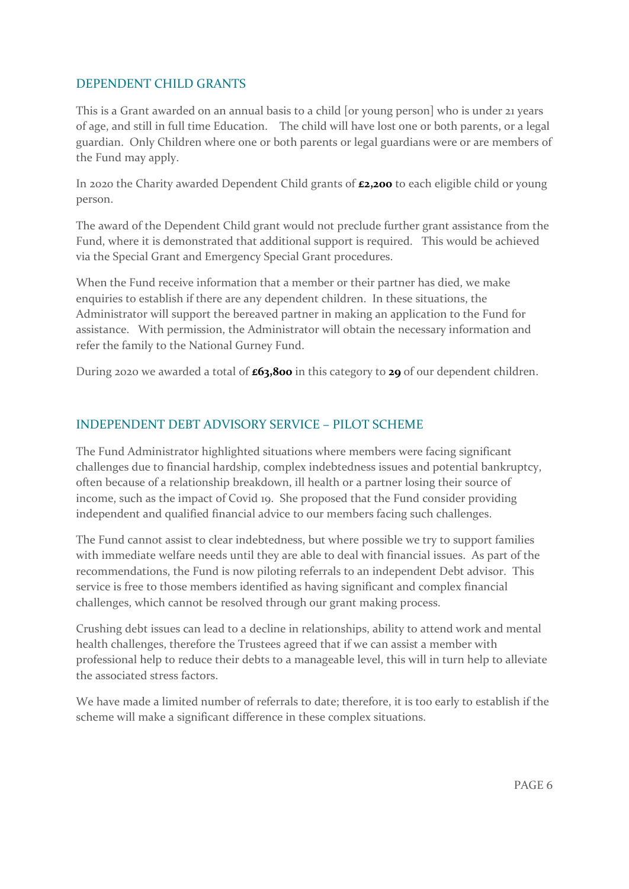#### DEPENDENT CHILD GRANTS

This is a Grant awarded on an annual basis to a child [or young person] who is under 21 years of age, and still in full time Education. The child will have lost one or both parents, or a legal guardian. Only Children where one or both parents or legal guardians were or are members of the Fund may apply.

In 2020 the Charity awarded Dependent Child grants of **£2,200** to each eligible child or young person.

The award of the Dependent Child grant would not preclude further grant assistance from the Fund, where it is demonstrated that additional support is required. This would be achieved via the Special Grant and Emergency Special Grant procedures.

When the Fund receive information that a member or their partner has died, we make enquiries to establish if there are any dependent children. In these situations, the Administrator will support the bereaved partner in making an application to the Fund for assistance. With permission, the Administrator will obtain the necessary information and refer the family to the National Gurney Fund.

During 2020 we awarded a total of **£63,800** in this category to **29** of our dependent children.

#### INDEPENDENT DEBT ADVISORY SERVICE – PILOT SCHEME

The Fund Administrator highlighted situations where members were facing significant challenges due to financial hardship, complex indebtedness issues and potential bankruptcy, often because of a relationship breakdown, ill health or a partner losing their source of income, such as the impact of Covid 19. She proposed that the Fund consider providing independent and qualified financial advice to our members facing such challenges.

The Fund cannot assist to clear indebtedness, but where possible we try to support families with immediate welfare needs until they are able to deal with financial issues. As part of the recommendations, the Fund is now piloting referrals to an independent Debt advisor. This service is free to those members identified as having significant and complex financial challenges, which cannot be resolved through our grant making process.

Crushing debt issues can lead to a decline in relationships, ability to attend work and mental health challenges, therefore the Trustees agreed that if we can assist a member with professional help to reduce their debts to a manageable level, this will in turn help to alleviate the associated stress factors.

We have made a limited number of referrals to date; therefore, it is too early to establish if the scheme will make a significant difference in these complex situations.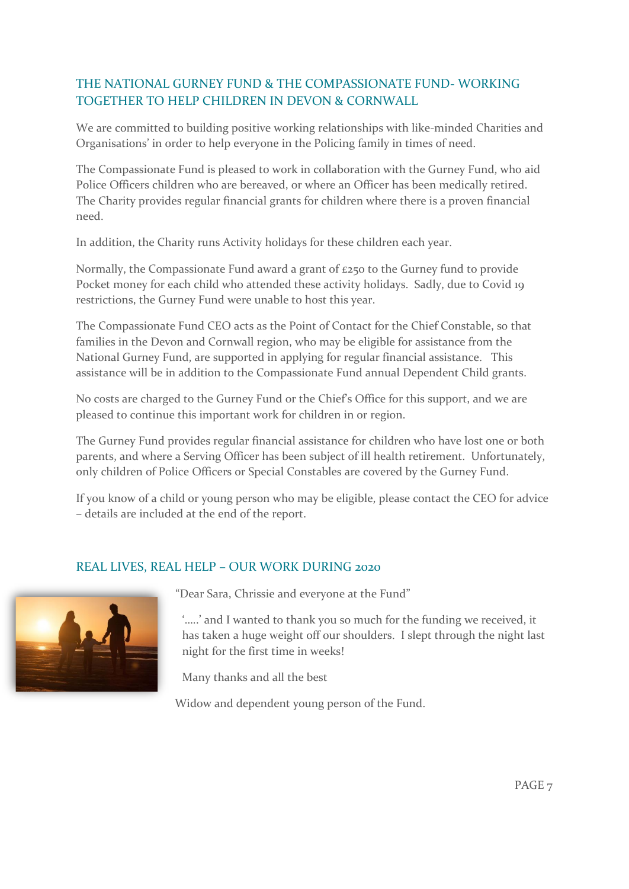# THE NATIONAL GURNEY FUND & THE COMPASSIONATE FUND- WORKING TOGETHER TO HELP CHILDREN IN DEVON & CORNWALL

We are committed to building positive working relationships with like-minded Charities and Organisations' in order to help everyone in the Policing family in times of need.

The Compassionate Fund is pleased to work in collaboration with the Gurney Fund, who aid Police Officers children who are bereaved, or where an Officer has been medically retired. The Charity provides regular financial grants for children where there is a proven financial need.

In addition, the Charity runs Activity holidays for these children each year.

Normally, the Compassionate Fund award a grant of £250 to the Gurney fund to provide Pocket money for each child who attended these activity holidays. Sadly, due to Covid 19 restrictions, the Gurney Fund were unable to host this year.

The Compassionate Fund CEO acts as the Point of Contact for the Chief Constable, so that families in the Devon and Cornwall region, who may be eligible for assistance from the National Gurney Fund, are supported in applying for regular financial assistance. This assistance will be in addition to the Compassionate Fund annual Dependent Child grants.

No costs are charged to the Gurney Fund or the Chief's Office for this support, and we are pleased to continue this important work for children in or region.

The Gurney Fund provides regular financial assistance for children who have lost one or both parents, and where a Serving Officer has been subject of ill health retirement. Unfortunately, only children of Police Officers or Special Constables are covered by the Gurney Fund.

If you know of a child or young person who may be eligible, please contact the CEO for advice – details are included at the end of the report.

## REAL LIVES, REAL HELP – OUR WORK DURING 2020



"Dear Sara, Chrissie and everyone at the Fund"

'…..' and I wanted to thank you so much for the funding we received, it has taken a huge weight off our shoulders. I slept through the night last night for the first time in weeks!

Many thanks and all the best

Widow and dependent young person of the Fund.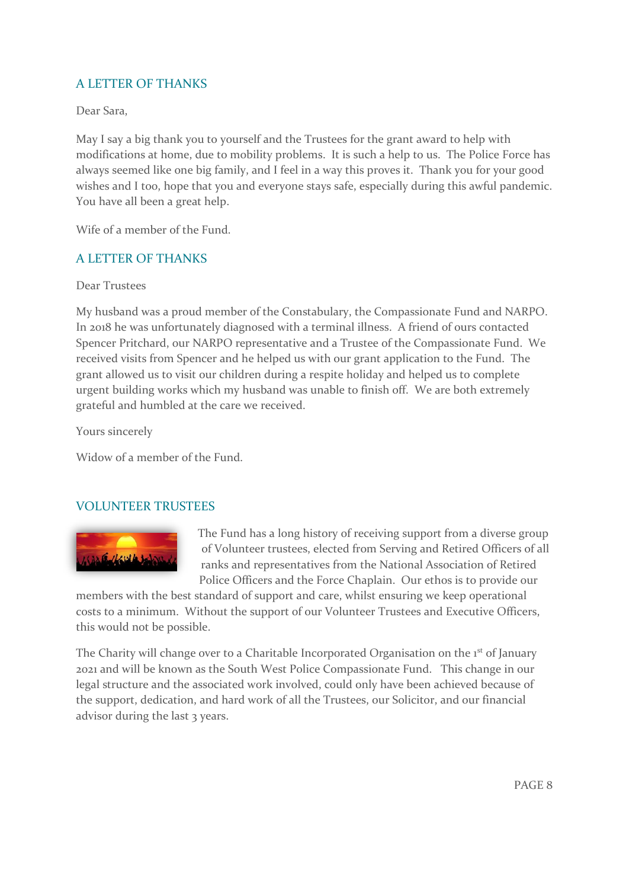# A LETTER OF THANKS

Dear Sara,

May I say a big thank you to yourself and the Trustees for the grant award to help with modifications at home, due to mobility problems. It is such a help to us. The Police Force has always seemed like one big family, and I feel in a way this proves it. Thank you for your good wishes and I too, hope that you and everyone stays safe, especially during this awful pandemic. You have all been a great help.

Wife of a member of the Fund.

#### A LETTER OF THANKS

Dear Trustees

My husband was a proud member of the Constabulary, the Compassionate Fund and NARPO. In 2018 he was unfortunately diagnosed with a terminal illness. A friend of ours contacted Spencer Pritchard, our NARPO representative and a Trustee of the Compassionate Fund. We received visits from Spencer and he helped us with our grant application to the Fund. The grant allowed us to visit our children during a respite holiday and helped us to complete urgent building works which my husband was unable to finish off. We are both extremely grateful and humbled at the care we received.

Yours sincerely

Widow of a member of the Fund.

#### VOLUNTEER TRUSTEES



The Fund has a long history of receiving support from a diverse group of Volunteer trustees, elected from Serving and Retired Officers of all ranks and representatives from the National Association of Retired Police Officers and the Force Chaplain. Our ethos is to provide our

members with the best standard of support and care, whilst ensuring we keep operational costs to a minimum. Without the support of our Volunteer Trustees and Executive Officers, this would not be possible.

The Charity will change over to a Charitable Incorporated Organisation on the 1<sup>st</sup> of January 2021 and will be known as the South West Police Compassionate Fund. This change in our legal structure and the associated work involved, could only have been achieved because of the support, dedication, and hard work of all the Trustees, our Solicitor, and our financial advisor during the last 3 years.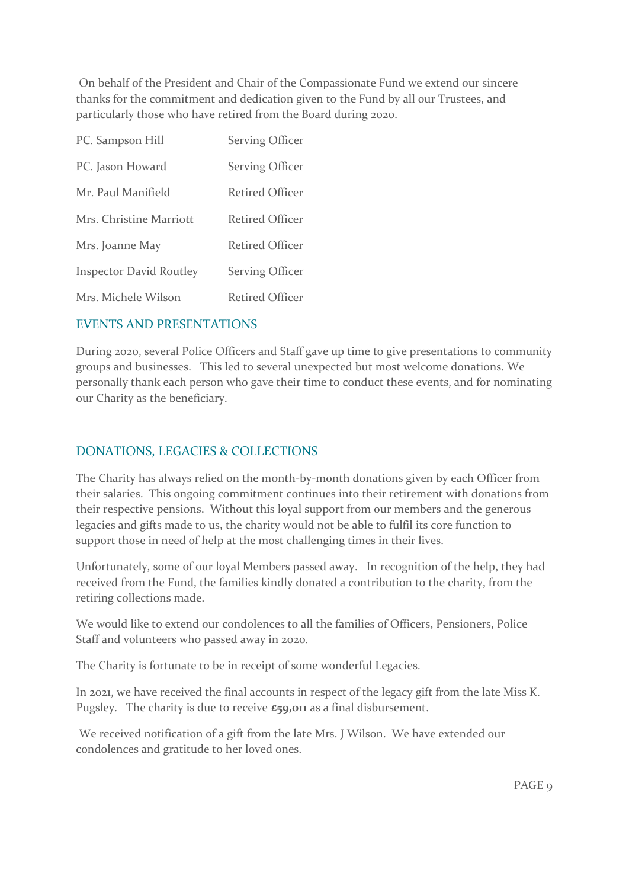On behalf of the President and Chair of the Compassionate Fund we extend our sincere thanks for the commitment and dedication given to the Fund by all our Trustees, and particularly those who have retired from the Board during 2020.

| PC. Sampson Hill               | Serving Officer        |
|--------------------------------|------------------------|
| PC. Jason Howard               | <b>Serving Officer</b> |
| Mr. Paul Manifield             | <b>Retired Officer</b> |
| Mrs. Christine Marriott        | Retired Officer        |
| Mrs. Joanne May                | <b>Retired Officer</b> |
| <b>Inspector David Routley</b> | <b>Serving Officer</b> |
| Mrs. Michele Wilson            | Retired Officer        |

#### EVENTS AND PRESENTATIONS

During 2020, several Police Officers and Staff gave up time to give presentations to community groups and businesses. This led to several unexpected but most welcome donations. We personally thank each person who gave their time to conduct these events, and for nominating our Charity as the beneficiary.

#### DONATIONS, LEGACIES & COLLECTIONS

The Charity has always relied on the month-by-month donations given by each Officer from their salaries. This ongoing commitment continues into their retirement with donations from their respective pensions. Without this loyal support from our members and the generous legacies and gifts made to us, the charity would not be able to fulfil its core function to support those in need of help at the most challenging times in their lives.

Unfortunately, some of our loyal Members passed away. In recognition of the help, they had received from the Fund, the families kindly donated a contribution to the charity, from the retiring collections made.

We would like to extend our condolences to all the families of Officers, Pensioners, Police Staff and volunteers who passed away in 2020.

The Charity is fortunate to be in receipt of some wonderful Legacies.

In 2021, we have received the final accounts in respect of the legacy gift from the late Miss K. Pugsley. The charity is due to receive **£59,011** as a final disbursement.

We received notification of a gift from the late Mrs. J Wilson. We have extended our condolences and gratitude to her loved ones.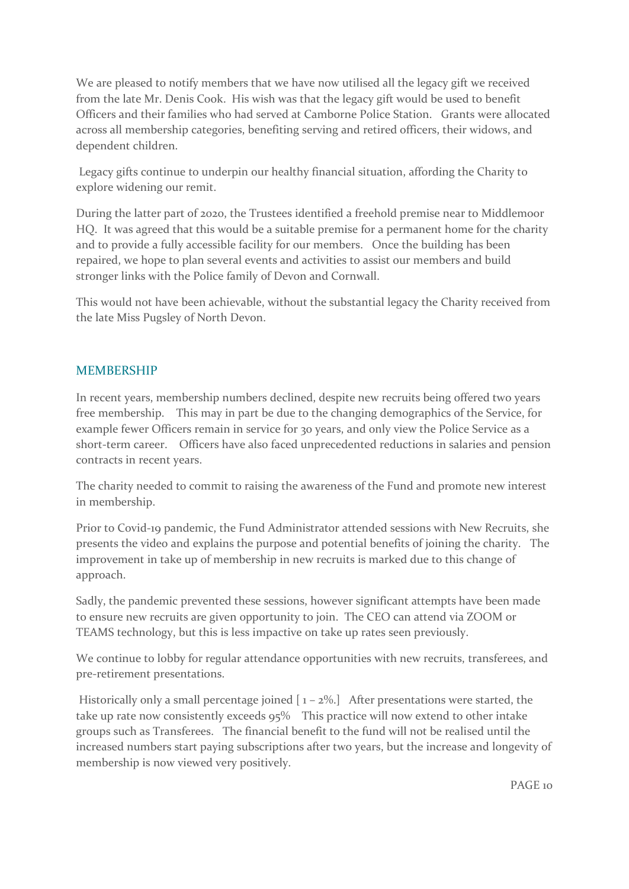We are pleased to notify members that we have now utilised all the legacy gift we received from the late Mr. Denis Cook. His wish was that the legacy gift would be used to benefit Officers and their families who had served at Camborne Police Station. Grants were allocated across all membership categories, benefiting serving and retired officers, their widows, and dependent children.

Legacy gifts continue to underpin our healthy financial situation, affording the Charity to explore widening our remit.

During the latter part of 2020, the Trustees identified a freehold premise near to Middlemoor HQ. It was agreed that this would be a suitable premise for a permanent home for the charity and to provide a fully accessible facility for our members. Once the building has been repaired, we hope to plan several events and activities to assist our members and build stronger links with the Police family of Devon and Cornwall.

This would not have been achievable, without the substantial legacy the Charity received from the late Miss Pugsley of North Devon.

#### MEMBERSHIP

In recent years, membership numbers declined, despite new recruits being offered two years free membership. This may in part be due to the changing demographics of the Service, for example fewer Officers remain in service for 30 years, and only view the Police Service as a short-term career. Officers have also faced unprecedented reductions in salaries and pension contracts in recent years.

The charity needed to commit to raising the awareness of the Fund and promote new interest in membership.

Prior to Covid-19 pandemic, the Fund Administrator attended sessions with New Recruits, she presents the video and explains the purpose and potential benefits of joining the charity. The improvement in take up of membership in new recruits is marked due to this change of approach.

Sadly, the pandemic prevented these sessions, however significant attempts have been made to ensure new recruits are given opportunity to join. The CEO can attend via ZOOM or TEAMS technology, but this is less impactive on take up rates seen previously.

We continue to lobby for regular attendance opportunities with new recruits, transferees, and pre-retirement presentations.

Historically only a small percentage joined  $[1 - 2\%]$  After presentations were started, the take up rate now consistently exceeds 95% This practice will now extend to other intake groups such as Transferees. The financial benefit to the fund will not be realised until the increased numbers start paying subscriptions after two years, but the increase and longevity of membership is now viewed very positively.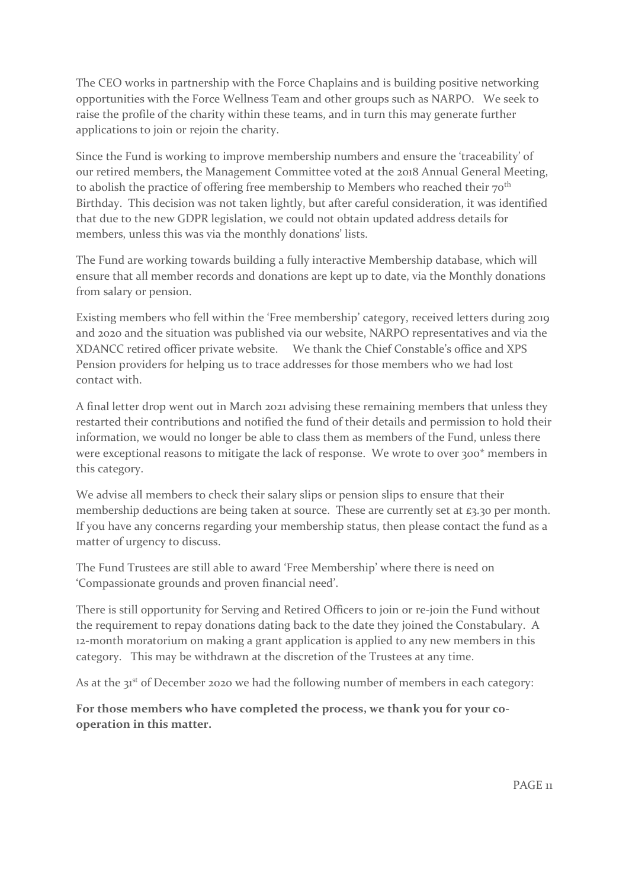The CEO works in partnership with the Force Chaplains and is building positive networking opportunities with the Force Wellness Team and other groups such as NARPO. We seek to raise the profile of the charity within these teams, and in turn this may generate further applications to join or rejoin the charity.

Since the Fund is working to improve membership numbers and ensure the 'traceability' of our retired members, the Management Committee voted at the 2018 Annual General Meeting, to abolish the practice of offering free membership to Members who reached their 70<sup>th</sup> Birthday. This decision was not taken lightly, but after careful consideration, it was identified that due to the new GDPR legislation, we could not obtain updated address details for members, unless this was via the monthly donations' lists.

The Fund are working towards building a fully interactive Membership database, which will ensure that all member records and donations are kept up to date, via the Monthly donations from salary or pension.

Existing members who fell within the 'Free membership' category, received letters during 2019 and 2020 and the situation was published via our website, NARPO representatives and via the XDANCC retired officer private website. We thank the Chief Constable's office and XPS Pension providers for helping us to trace addresses for those members who we had lost contact with.

A final letter drop went out in March 2021 advising these remaining members that unless they restarted their contributions and notified the fund of their details and permission to hold their information, we would no longer be able to class them as members of the Fund, unless there were exceptional reasons to mitigate the lack of response. We wrote to over 300\* members in this category.

We advise all members to check their salary slips or pension slips to ensure that their membership deductions are being taken at source. These are currently set at £3.30 per month. If you have any concerns regarding your membership status, then please contact the fund as a matter of urgency to discuss.

The Fund Trustees are still able to award 'Free Membership' where there is need on 'Compassionate grounds and proven financial need'.

There is still opportunity for Serving and Retired Officers to join or re-join the Fund without the requirement to repay donations dating back to the date they joined the Constabulary. A 12-month moratorium on making a grant application is applied to any new members in this category. This may be withdrawn at the discretion of the Trustees at any time.

As at the 31<sup>st</sup> of December 2020 we had the following number of members in each category:

**For those members who have completed the process, we thank you for your cooperation in this matter.**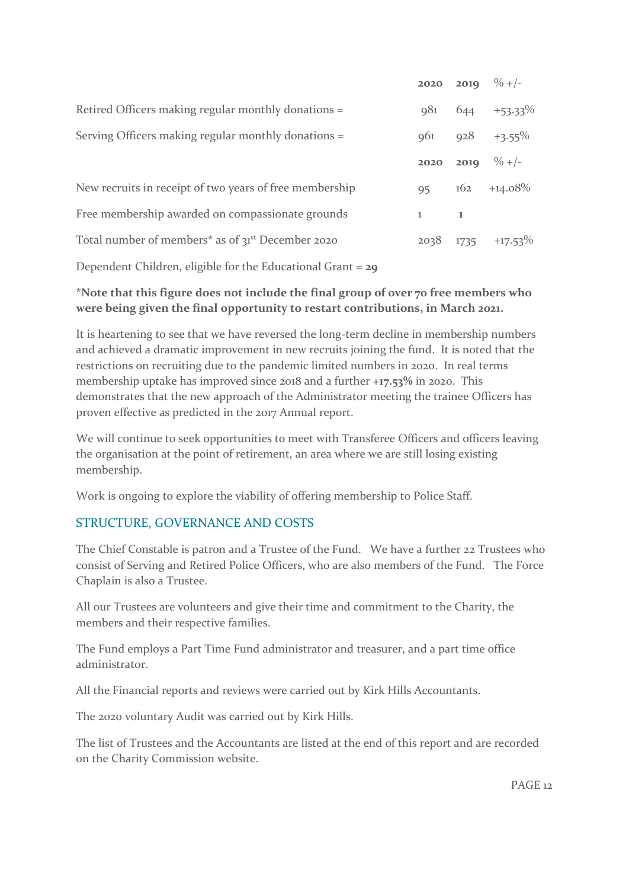|                                                                           |             |     | 2020 2019 $\%$ +/-     |
|---------------------------------------------------------------------------|-------------|-----|------------------------|
| Retired Officers making regular monthly donations =                       | 981         | 644 | $+53.33\%$             |
| Serving Officers making regular monthly donations =                       |             |     | $961$ $928$ $+3.55\%$  |
|                                                                           | 2020        |     | <b>2019</b> % +/-      |
| New recruits in receipt of two years of free membership                   | 95          |     | $162 + 14.08\%$        |
| Free membership awarded on compassionate grounds                          | $1 \quad 1$ |     |                        |
| Total number of members <sup>*</sup> as of 31 <sup>st</sup> December 2020 |             |     | $2038$ 1735 $+17.53\%$ |
|                                                                           |             |     |                        |

Dependent Children, eligible for the Educational Grant = **29**

## **\*Note that this figure does not include the final group of 0ver 70 free members who were being given the final opportunity to restart contributions, in March 2021.**

It is heartening to see that we have reversed the long-term decline in membership numbers and achieved a dramatic improvement in new recruits joining the fund. It is noted that the restrictions on recruiting due to the pandemic limited numbers in 2020. In real terms membership uptake has improved since 2018 and a further **+17.53%** in 2020. This demonstrates that the new approach of the Administrator meeting the trainee Officers has proven effective as predicted in the 2017 Annual report.

We will continue to seek opportunities to meet with Transferee Officers and officers leaving the organisation at the point of retirement, an area where we are still losing existing membership.

Work is ongoing to explore the viability of offering membership to Police Staff.

## STRUCTURE, GOVERNANCE AND COSTS

The Chief Constable is patron and a Trustee of the Fund. We have a further 22 Trustees who consist of Serving and Retired Police Officers, who are also members of the Fund. The Force Chaplain is also a Trustee.

All our Trustees are volunteers and give their time and commitment to the Charity, the members and their respective families.

The Fund employs a Part Time Fund administrator and treasurer, and a part time office administrator.

All the Financial reports and reviews were carried out by Kirk Hills Accountants.

The 2020 voluntary Audit was carried out by Kirk Hills.

The list of Trustees and the Accountants are listed at the end of this report and are recorded on the Charity Commission website.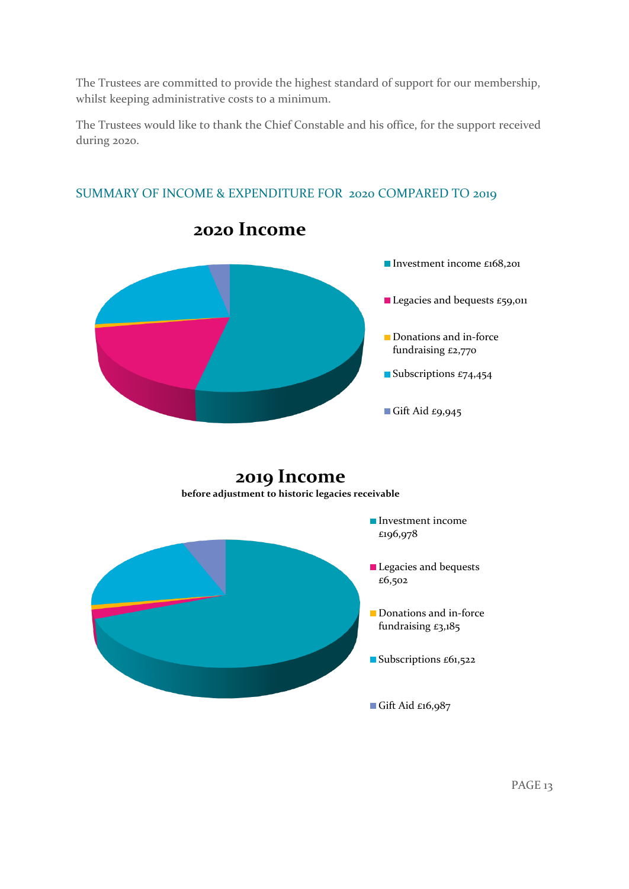The Trustees are committed to provide the highest standard of support for our membership, whilst keeping administrative costs to a minimum.

The Trustees would like to thank the Chief Constable and his office, for the support received during 2020.



# SUMMARY OF INCOME & EXPENDITURE FOR 2020 COMPARED TO 2019

**2019 Income before adjustment to historic legacies receivable**

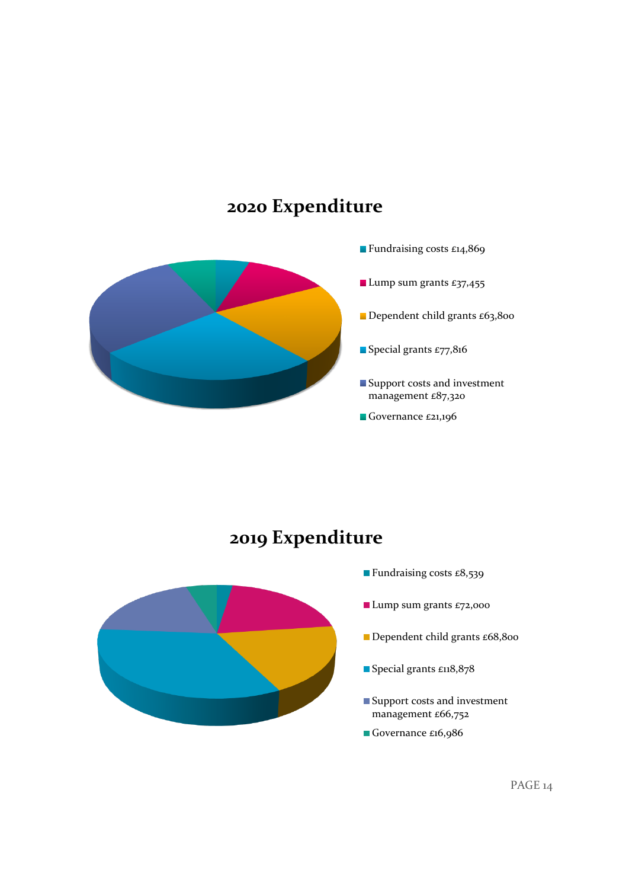# **2020 Expenditure**



# **2019 Expenditure**



- **Fundraising costs £8,539**
- **Lump sum grants £72,000**
- Dependent child grants £68,800
- Special grants £118,878
- Support costs and investment management £66,752
- Governance £16,986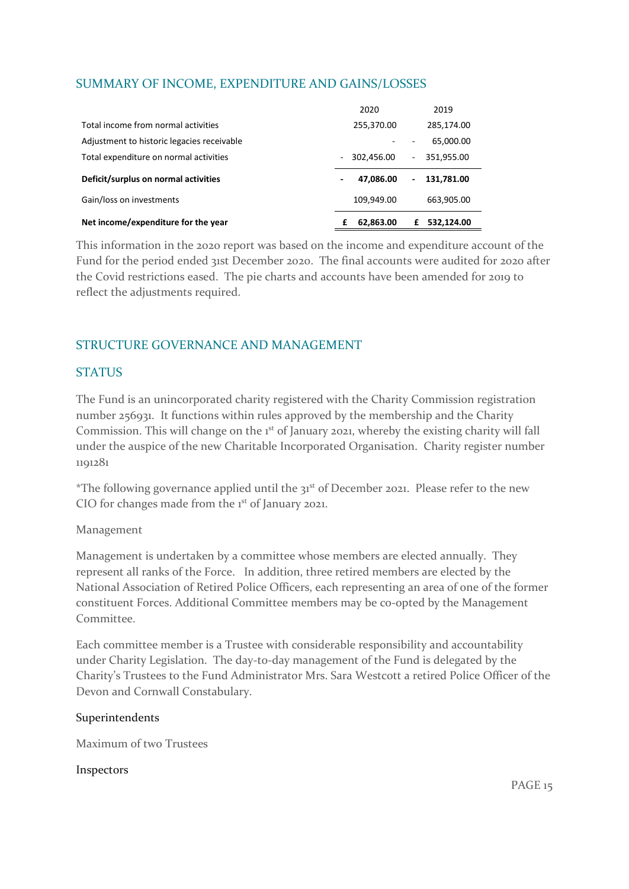## SUMMARY OF INCOME, EXPENDITURE AND GAINS/LOSSES

| Net income/expenditure for the year        |                          | 62,863.00  | £                        | 532,124.00 |
|--------------------------------------------|--------------------------|------------|--------------------------|------------|
| Gain/loss on investments                   |                          | 109,949.00 |                          | 663,905.00 |
| Deficit/surplus on normal activities       |                          | 47,086.00  | $\overline{\phantom{a}}$ | 131,781.00 |
| Total expenditure on normal activities     | $\overline{\phantom{0}}$ | 302,456.00 | $\sim$                   | 351,955.00 |
| Adjustment to historic legacies receivable |                          |            |                          | 65,000.00  |
| Total income from normal activities        |                          | 255,370.00 |                          | 285,174.00 |
|                                            |                          | 2020       |                          | 2019       |

This information in the 2020 report was based on the income and expenditure account of the Fund for the period ended 31st December 2020. The final accounts were audited for 2020 after the Covid restrictions eased. The pie charts and accounts have been amended for 2019 to reflect the adjustments required.

# STRUCTURE GOVERNANCE AND MANAGEMENT

#### **STATUS**

The Fund is an unincorporated charity registered with the Charity Commission registration number 256931. It functions within rules approved by the membership and the Charity Commission. This will change on the 1<sup>st</sup> of January 2021, whereby the existing charity will fall under the auspice of the new Charitable Incorporated Organisation. Charity register number 1191281

\*The following governance applied until the  $31<sup>st</sup>$  of December 2021. Please refer to the new CIO for changes made from the 1<sup>st</sup> of January 2021.

#### Management

Management is undertaken by a committee whose members are elected annually. They represent all ranks of the Force. In addition, three retired members are elected by the National Association of Retired Police Officers, each representing an area of one of the former constituent Forces. Additional Committee members may be co-opted by the Management Committee.

Each committee member is a Trustee with considerable responsibility and accountability under Charity Legislation. The day-to-day management of the Fund is delegated by the Charity's Trustees to the Fund Administrator Mrs. Sara Westcott a retired Police Officer of the Devon and Cornwall Constabulary.

#### Superintendents

Maximum of two Trustees

#### Inspectors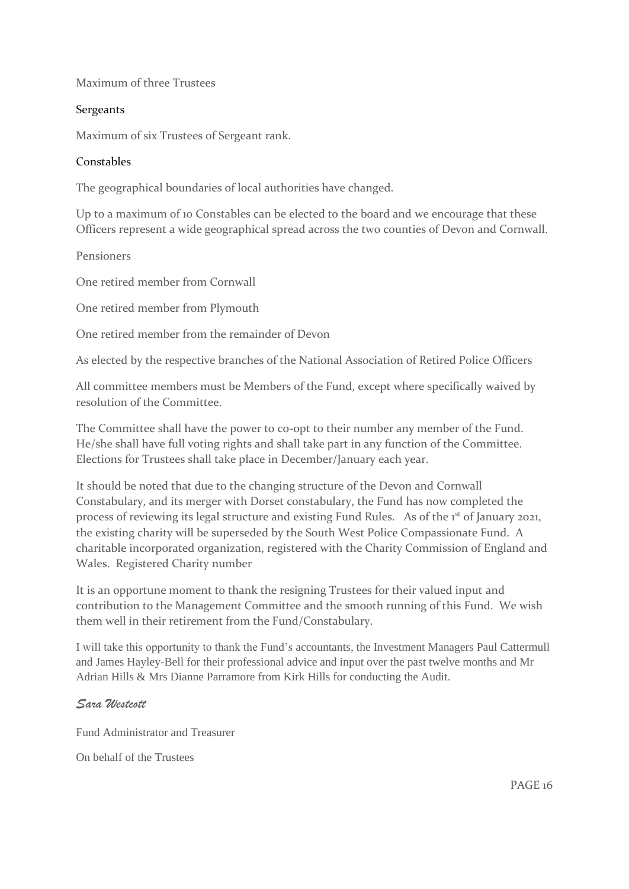Maximum of three Trustees

#### Sergeants

Maximum of six Trustees of Sergeant rank.

#### Constables

The geographical boundaries of local authorities have changed.

Up to a maximum of 10 Constables can be elected to the board and we encourage that these Officers represent a wide geographical spread across the two counties of Devon and Cornwall.

Pensioners

One retired member from Cornwall

One retired member from Plymouth

One retired member from the remainder of Devon

As elected by the respective branches of the National Association of Retired Police Officers

All committee members must be Members of the Fund, except where specifically waived by resolution of the Committee.

The Committee shall have the power to co-opt to their number any member of the Fund. He/she shall have full voting rights and shall take part in any function of the Committee. Elections for Trustees shall take place in December/January each year.

It should be noted that due to the changing structure of the Devon and Cornwall Constabulary, and its merger with Dorset constabulary, the Fund has now completed the process of reviewing its legal structure and existing Fund Rules. As of the 1<sup>st</sup> of January 2021, the existing charity will be superseded by the South West Police Compassionate Fund. A charitable incorporated organization, registered with the Charity Commission of England and Wales. Registered Charity number

It is an opportune moment to thank the resigning Trustees for their valued input and contribution to the Management Committee and the smooth running of this Fund. We wish them well in their retirement from the Fund/Constabulary.

I will take this opportunity to thank the Fund's accountants, the Investment Managers Paul Cattermull and James Hayley-Bell for their professional advice and input over the past twelve months and Mr Adrian Hills & Mrs Dianne Parramore from Kirk Hills for conducting the Audit.

#### *Sara Westcott*

Fund Administrator and Treasurer

On behalf of the Trustees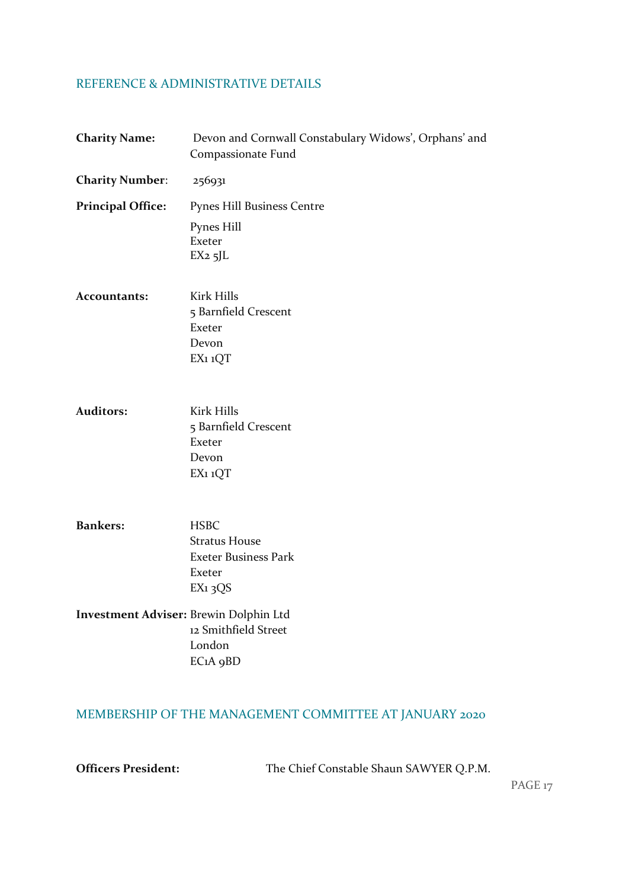#### REFERENCE & ADMINISTRATIVE DETAILS

| <b>Charity Name:</b>                          | Devon and Cornwall Constabulary Widows', Orphans' and<br>Compassionate Fund                         |
|-----------------------------------------------|-----------------------------------------------------------------------------------------------------|
| <b>Charity Number:</b>                        | 256931                                                                                              |
| <b>Principal Office:</b>                      | <b>Pynes Hill Business Centre</b>                                                                   |
|                                               | Pynes Hill<br>Exeter<br>$EX2$ 5JL                                                                   |
| <b>Accountants:</b>                           | <b>Kirk Hills</b><br>5 Barnfield Crescent<br>Exeter<br>Devon<br>EX1 1QT                             |
| <b>Auditors:</b>                              | <b>Kirk Hills</b><br>5 Barnfield Crescent<br>Exeter<br>Devon<br>EX1 1QT                             |
| <b>Bankers:</b>                               | <b>HSBC</b><br><b>Stratus House</b><br><b>Exeter Business Park</b><br>Exeter<br>EX <sub>1</sub> 3QS |
| <b>Investment Adviser: Brewin Dolphin Ltd</b> | 12 Smithfield Street                                                                                |

London EC1A 9BD

# MEMBERSHIP OF THE MANAGEMENT COMMITTEE AT JANUARY 2020

**Officers President:** The Chief Constable Shaun SAWYER Q.P.M.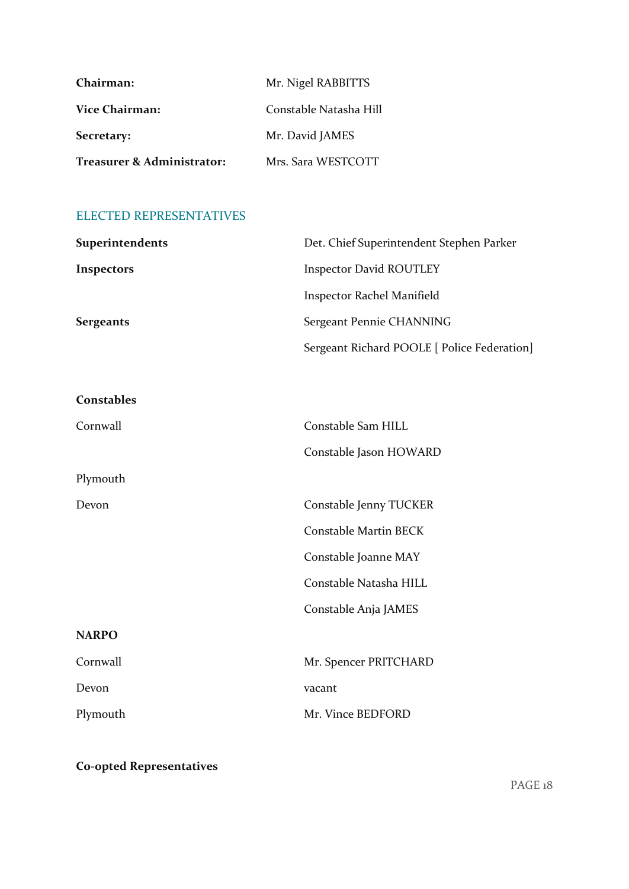| Chairman:                  | Mr. Nigel RABBITTS     |
|----------------------------|------------------------|
| <b>Vice Chairman:</b>      | Constable Natasha Hill |
| Secretary:                 | Mr. David JAMES        |
| Treasurer & Administrator: | Mrs. Sara WESTCOTT     |

# ELECTED REPRESENTATIVES

| Superintendents   | Det. Chief Superintendent Stephen Parker    |
|-------------------|---------------------------------------------|
| Inspectors        | <b>Inspector David ROUTLEY</b>              |
|                   | <b>Inspector Rachel Manifield</b>           |
| <b>Sergeants</b>  | Sergeant Pennie CHANNING                    |
|                   | Sergeant Richard POOLE [ Police Federation] |
|                   |                                             |
| <b>Constables</b> |                                             |
| Cornwall          | Constable Sam HILL                          |
|                   | Constable Jason HOWARD                      |
| Plymouth          |                                             |
| Devon             | Constable Jenny TUCKER                      |
|                   | Constable Martin BECK                       |
|                   | Constable Joanne MAY                        |
|                   | Constable Natasha HILL                      |
|                   | Constable Anja JAMES                        |
| <b>NARPO</b>      |                                             |
| Cornwall          | Mr. Spencer PRITCHARD                       |
| Devon             | vacant                                      |
| Plymouth          | Mr. Vince BEDFORD                           |
|                   |                                             |

**Co-opted Representatives**